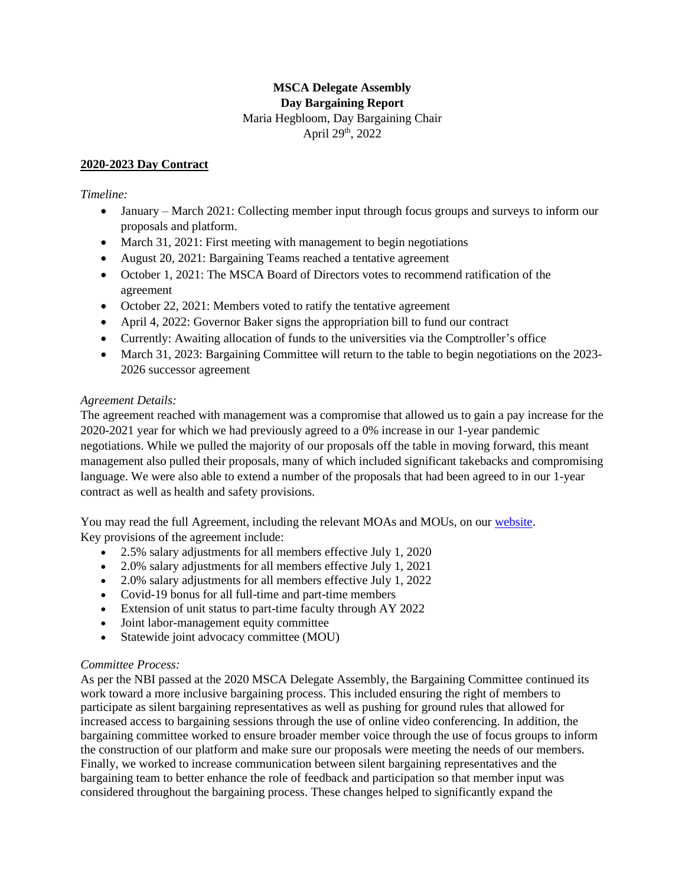# **MSCA Delegate Assembly Day Bargaining Report** Maria Hegbloom, Day Bargaining Chair April 29th, 2022

#### **2020-2023 Day Contract**

### *Timeline:*

- January March 2021: Collecting member input through focus groups and surveys to inform our proposals and platform.
- March 31, 2021: First meeting with management to begin negotiations
- August 20, 2021: Bargaining Teams reached a tentative agreement
- October 1, 2021: The MSCA Board of Directors votes to recommend ratification of the agreement
- October 22, 2021: Members voted to ratify the tentative agreement
- April 4, 2022: Governor Baker signs the appropriation bill to fund our contract
- Currently: Awaiting allocation of funds to the universities via the Comptroller's office
- March 31, 2023: Bargaining Committee will return to the table to begin negotiations on the 2023-2026 successor agreement

### *Agreement Details:*

The agreement reached with management was a compromise that allowed us to gain a pay increase for the 2020-2021 year for which we had previously agreed to a 0% increase in our 1-year pandemic negotiations. While we pulled the majority of our proposals off the table in moving forward, this meant management also pulled their proposals, many of which included significant takebacks and compromising language. We were also able to extend a number of the proposals that had been agreed to in our 1-year contract as well as health and safety provisions.

You may read the full Agreement, including the relevant MOAs and MOUs, on our [website.](https://mscaunion.org/day-and-dgce-contracts/) Key provisions of the agreement include:

- 2.5% salary adjustments for all members effective July 1, 2020
- 2.0% salary adjustments for all members effective July 1, 2021
- 2.0% salary adjustments for all members effective July 1, 2022
- Covid-19 bonus for all full-time and part-time members
- Extension of unit status to part-time faculty through AY 2022
- Joint labor-management equity committee
- Statewide joint advocacy committee (MOU)

## *Committee Process:*

As per the NBI passed at the 2020 MSCA Delegate Assembly, the Bargaining Committee continued its work toward a more inclusive bargaining process. This included ensuring the right of members to participate as silent bargaining representatives as well as pushing for ground rules that allowed for increased access to bargaining sessions through the use of online video conferencing. In addition, the bargaining committee worked to ensure broader member voice through the use of focus groups to inform the construction of our platform and make sure our proposals were meeting the needs of our members. Finally, we worked to increase communication between silent bargaining representatives and the bargaining team to better enhance the role of feedback and participation so that member input was considered throughout the bargaining process. These changes helped to significantly expand the